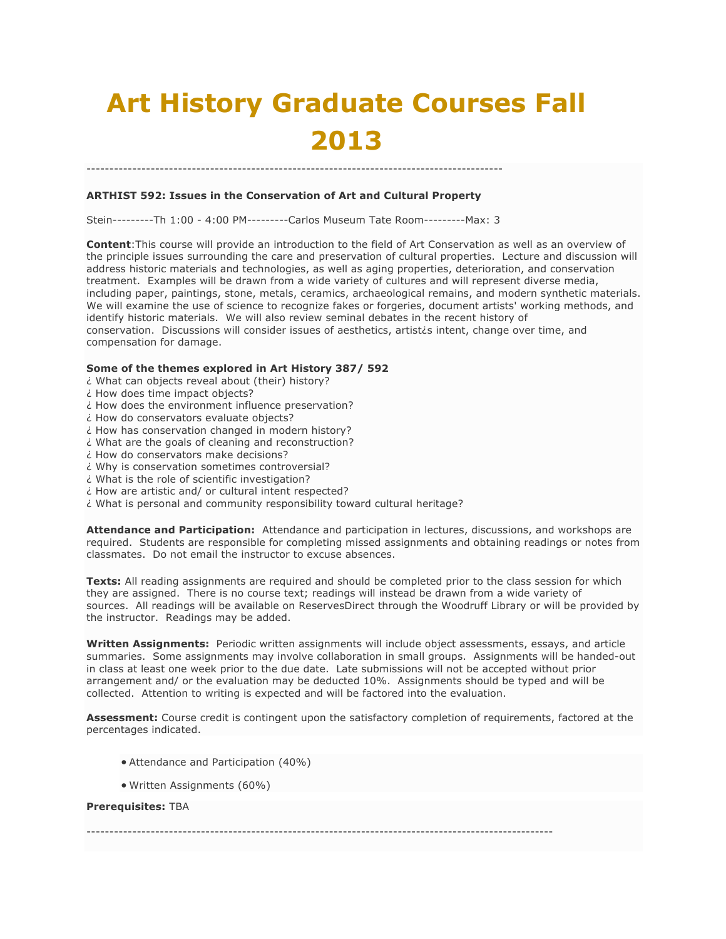# **Art History Graduate Courses Fall 2013**

# **ARTHIST 592: Issues in the Conservation of Art and Cultural Property**

Stein---------Th 1:00 - 4:00 PM---------Carlos Museum Tate Room---------Max: 3

-------------------------------------------------------------------------------------------

**Content**:This course will provide an introduction to the field of Art Conservation as well as an overview of the principle issues surrounding the care and preservation of cultural properties. Lecture and discussion will address historic materials and technologies, as well as aging properties, deterioration, and conservation treatment. Examples will be drawn from a wide variety of cultures and will represent diverse media, including paper, paintings, stone, metals, ceramics, archaeological remains, and modern synthetic materials. We will examine the use of science to recognize fakes or forgeries, document artists' working methods, and identify historic materials. We will also review seminal debates in the recent history of conservation. Discussions will consider issues of aesthetics, artist¿s intent, change over time, and compensation for damage.

#### **Some of the themes explored in Art History 387/ 592**

- ¿ What can objects reveal about (their) history?
- ¿ How does time impact objects?
- ¿ How does the environment influence preservation?
- ¿ How do conservators evaluate objects?
- ¿ How has conservation changed in modern history?
- ¿ What are the goals of cleaning and reconstruction?
- ¿ How do conservators make decisions?
- ¿ Why is conservation sometimes controversial?
- ¿ What is the role of scientific investigation?
- ¿ How are artistic and/ or cultural intent respected?
- ¿ What is personal and community responsibility toward cultural heritage?

**Attendance and Participation:** Attendance and participation in lectures, discussions, and workshops are required. Students are responsible for completing missed assignments and obtaining readings or notes from classmates. Do not email the instructor to excuse absences.

**Texts:** All reading assignments are required and should be completed prior to the class session for which they are assigned. There is no course text; readings will instead be drawn from a wide variety of sources. All readings will be available on ReservesDirect through the Woodruff Library or will be provided by the instructor. Readings may be added.

**Written Assignments:** Periodic written assignments will include object assessments, essays, and article summaries. Some assignments may involve collaboration in small groups. Assignments will be handed-out in class at least one week prior to the due date. Late submissions will not be accepted without prior arrangement and/ or the evaluation may be deducted 10%. Assignments should be typed and will be collected. Attention to writing is expected and will be factored into the evaluation.

**Assessment:** Course credit is contingent upon the satisfactory completion of requirements, factored at the percentages indicated.

- Attendance and Participation (40%)
- Written Assignments (60%)

#### **Prerequisites:** TBA

------------------------------------------------------------------------------------------------------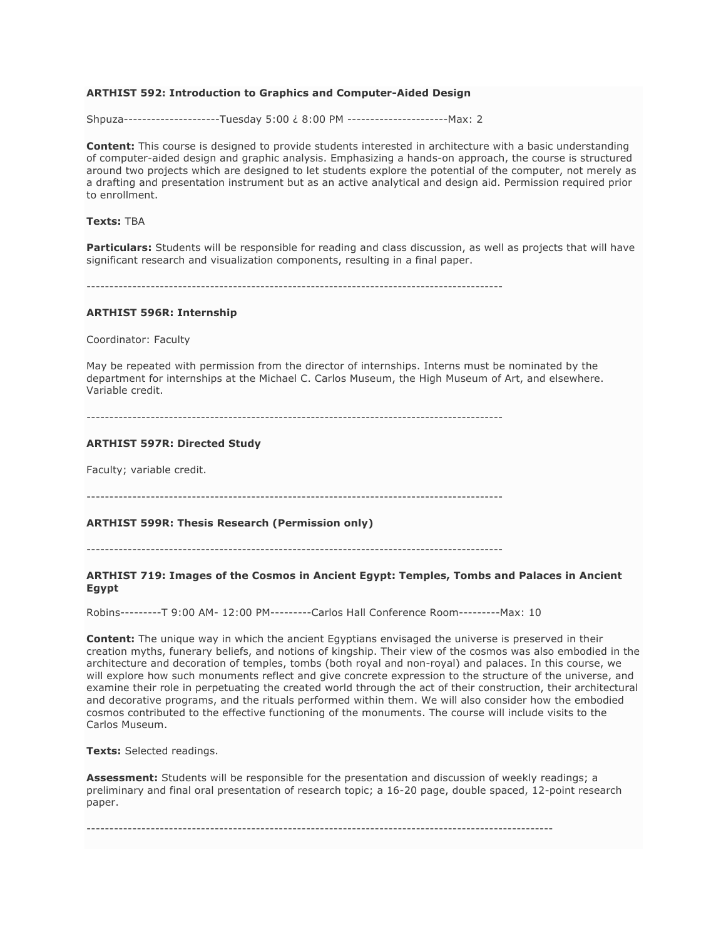## **ARTHIST 592: Introduction to Graphics and Computer-Aided Design**

Shpuza---------------------Tuesday 5:00 ¿ 8:00 PM ----------------------Max: 2

**Content:** This course is designed to provide students interested in architecture with a basic understanding of computer-aided design and graphic analysis. Emphasizing a hands-on approach, the course is structured around two projects which are designed to let students explore the potential of the computer, not merely as a drafting and presentation instrument but as an active analytical and design aid. Permission required prior to enrollment.

## **Texts:** TBA

**Particulars:** Students will be responsible for reading and class discussion, as well as projects that will have significant research and visualization components, resulting in a final paper.

-------------------------------------------------------------------------------------------

#### **ARTHIST 596R: Internship**

Coordinator: Faculty

May be repeated with permission from the director of internships. Interns must be nominated by the department for internships at the Michael C. Carlos Museum, the High Museum of Art, and elsewhere. Variable credit.

-------------------------------------------------------------------------------------------

#### **ARTHIST 597R: Directed Study**

Faculty; variable credit.

-------------------------------------------------------------------------------------------

## **ARTHIST 599R: Thesis Research (Permission only)**

-------------------------------------------------------------------------------------------

#### **ARTHIST 719: Images of the Cosmos in Ancient Egypt: Temples, Tombs and Palaces in Ancient Egypt**

Robins---------T 9:00 AM- 12:00 PM---------Carlos Hall Conference Room---------Max: 10

**Content:** The unique way in which the ancient Egyptians envisaged the universe is preserved in their creation myths, funerary beliefs, and notions of kingship. Their view of the cosmos was also embodied in the architecture and decoration of temples, tombs (both royal and non-royal) and palaces. In this course, we will explore how such monuments reflect and give concrete expression to the structure of the universe, and examine their role in perpetuating the created world through the act of their construction, their architectural and decorative programs, and the rituals performed within them. We will also consider how the embodied cosmos contributed to the effective functioning of the monuments. The course will include visits to the Carlos Museum.

**Texts:** Selected readings.

**Assessment:** Students will be responsible for the presentation and discussion of weekly readings; a preliminary and final oral presentation of research topic; a 16-20 page, double spaced, 12-point research paper.

------------------------------------------------------------------------------------------------------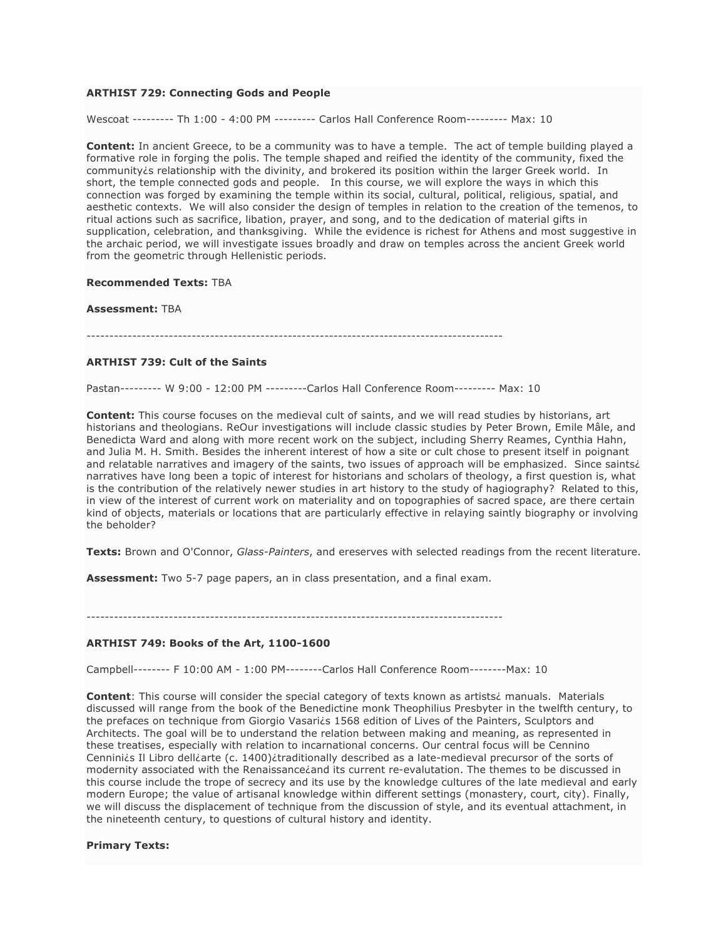## **ARTHIST 729: Connecting Gods and People**

Wescoat --------- Th 1:00 - 4:00 PM --------- Carlos Hall Conference Room--------- Max: 10

**Content:** In ancient Greece, to be a community was to have a temple. The act of temple building played a formative role in forging the polis. The temple shaped and reified the identity of the community, fixed the community is relationship with the divinity, and brokered its position within the larger Greek world. In short, the temple connected gods and people. In this course, we will explore the ways in which this connection was forged by examining the temple within its social, cultural, political, religious, spatial, and aesthetic contexts. We will also consider the design of temples in relation to the creation of the temenos, to ritual actions such as sacrifice, libation, prayer, and song, and to the dedication of material gifts in supplication, celebration, and thanksgiving. While the evidence is richest for Athens and most suggestive in the archaic period, we will investigate issues broadly and draw on temples across the ancient Greek world from the geometric through Hellenistic periods.

#### **Recommended Texts:** TBA

#### **Assessment:** TBA

-------------------------------------------------------------------------------------------

#### **ARTHIST 739: Cult of the Saints**

Pastan--------- W 9:00 - 12:00 PM ---------Carlos Hall Conference Room--------- Max: 10

**Content:** This course focuses on the medieval cult of saints, and we will read studies by historians, art historians and theologians. ReOur investigations will include classic studies by Peter Brown, Emile Mâle, and Benedicta Ward and along with more recent work on the subject, including Sherry Reames, Cynthia Hahn, and Julia M. H. Smith. Besides the inherent interest of how a site or cult chose to present itself in poignant and relatable narratives and imagery of the saints, two issues of approach will be emphasized. Since saintsi narratives have long been a topic of interest for historians and scholars of theology, a first question is, what is the contribution of the relatively newer studies in art history to the study of hagiography? Related to this, in view of the interest of current work on materiality and on topographies of sacred space, are there certain kind of objects, materials or locations that are particularly effective in relaying saintly biography or involving the beholder?

**Texts:** Brown and O'Connor, *Glass-Painters*, and ereserves with selected readings from the recent literature.

**Assessment:** Two 5-7 page papers, an in class presentation, and a final exam.

-------------------------------------------------------------------------------------------

#### **ARTHIST 749: Books of the Art, 1100-1600**

Campbell-------- F 10:00 AM - 1:00 PM--------Carlos Hall Conference Room--------Max: 10

**Content**: This course will consider the special category of texts known as artists¿ manuals. Materials discussed will range from the book of the Benedictine monk Theophilius Presbyter in the twelfth century, to the prefaces on technique from Giorgio Vasari¿s 1568 edition of Lives of the Painters, Sculptors and Architects. The goal will be to understand the relation between making and meaning, as represented in these treatises, especially with relation to incarnational concerns. Our central focus will be Cennino Cennini¿s Il Libro dell¿arte (c. 1400)¿traditionally described as a late-medieval precursor of the sorts of modernity associated with the Renaissance¿and its current re-evalutation. The themes to be discussed in this course include the trope of secrecy and its use by the knowledge cultures of the late medieval and early modern Europe; the value of artisanal knowledge within different settings (monastery, court, city). Finally, we will discuss the displacement of technique from the discussion of style, and its eventual attachment, in the nineteenth century, to questions of cultural history and identity.

#### **Primary Texts:**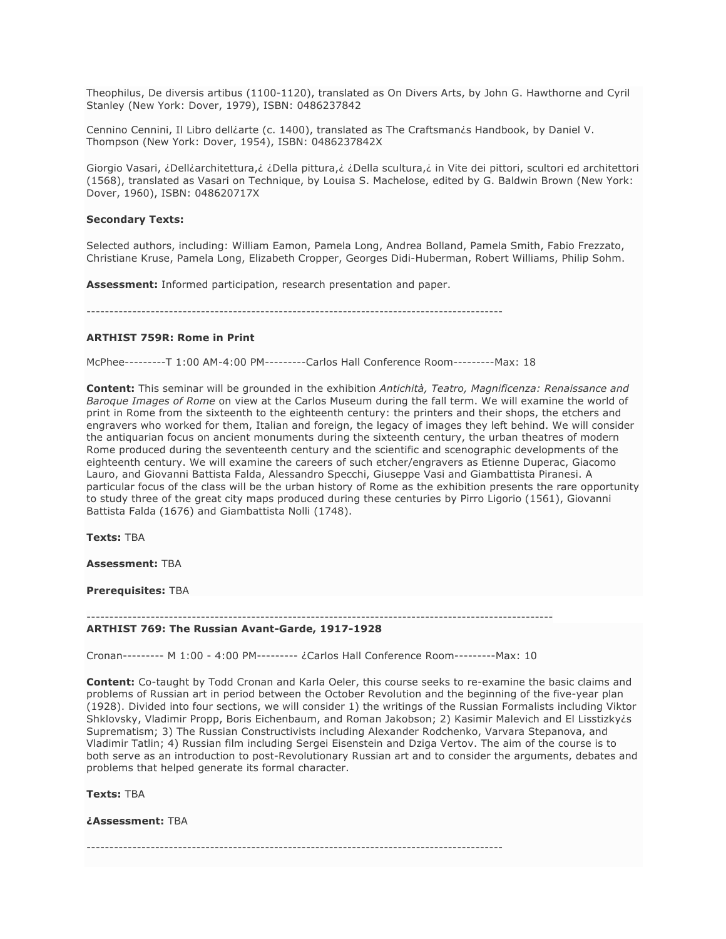Theophilus, De diversis artibus (1100-1120), translated as On Divers Arts, by John G. Hawthorne and Cyril Stanley (New York: Dover, 1979), ISBN: 0486237842

Cennino Cennini, Il Libro delliarte (c. 1400), translated as The Craftsmanis Handbook, by Daniel V. Thompson (New York: Dover, 1954), ISBN: 0486237842X

Giorgio Vasari, ¿Dell¿architettura,¿ ¿Della pittura,¿ ¿Della scultura,¿ in Vite dei pittori, scultori ed architettori (1568), translated as Vasari on Technique, by Louisa S. Machelose, edited by G. Baldwin Brown (New York: Dover, 1960), ISBN: 048620717X

#### **Secondary Texts:**

Selected authors, including: William Eamon, Pamela Long, Andrea Bolland, Pamela Smith, Fabio Frezzato, Christiane Kruse, Pamela Long, Elizabeth Cropper, Georges Didi-Huberman, Robert Williams, Philip Sohm.

**Assessment:** Informed participation, research presentation and paper.

-------------------------------------------------------------------------------------------

#### **ARTHIST 759R: Rome in Print**

McPhee---------T 1:00 AM-4:00 PM---------Carlos Hall Conference Room---------Max: 18

**Content:** This seminar will be grounded in the exhibition *Antichità, Teatro, Magnificenza: Renaissance and Baroque Images of Rome* on view at the Carlos Museum during the fall term. We will examine the world of print in Rome from the sixteenth to the eighteenth century: the printers and their shops, the etchers and engravers who worked for them, Italian and foreign, the legacy of images they left behind. We will consider the antiquarian focus on ancient monuments during the sixteenth century, the urban theatres of modern Rome produced during the seventeenth century and the scientific and scenographic developments of the eighteenth century. We will examine the careers of such etcher/engravers as Etienne Duperac, Giacomo Lauro, and Giovanni Battista Falda, Alessandro Specchi, Giuseppe Vasi and Giambattista Piranesi. A particular focus of the class will be the urban history of Rome as the exhibition presents the rare opportunity to study three of the great city maps produced during these centuries by Pirro Ligorio (1561), Giovanni Battista Falda (1676) and Giambattista Nolli (1748).

**Texts:** TBA

**Assessment:** TBA

**Prerequisites:** TBA

------------------------------------------------------------------------------------------------------

#### **ARTHIST 769: The Russian Avant-Garde, 1917-1928**

Cronan--------- M 1:00 - 4:00 PM--------- ¿Carlos Hall Conference Room---------Max: 10

**Content:** Co-taught by Todd Cronan and Karla Oeler, this course seeks to re-examine the basic claims and problems of Russian art in period between the October Revolution and the beginning of the five-year plan (1928). Divided into four sections, we will consider 1) the writings of the Russian Formalists including Viktor Shklovsky, Vladimir Propp, Boris Eichenbaum, and Roman Jakobson; 2) Kasimir Malevich and El Lisstizky¿s Suprematism; 3) The Russian Constructivists including Alexander Rodchenko, Varvara Stepanova, and Vladimir Tatlin; 4) Russian film including Sergei Eisenstein and Dziga Vertov. The aim of the course is to both serve as an introduction to post-Revolutionary Russian art and to consider the arguments, debates and problems that helped generate its formal character.

**Texts:** TBA

**¿Assessment:** TBA

-------------------------------------------------------------------------------------------